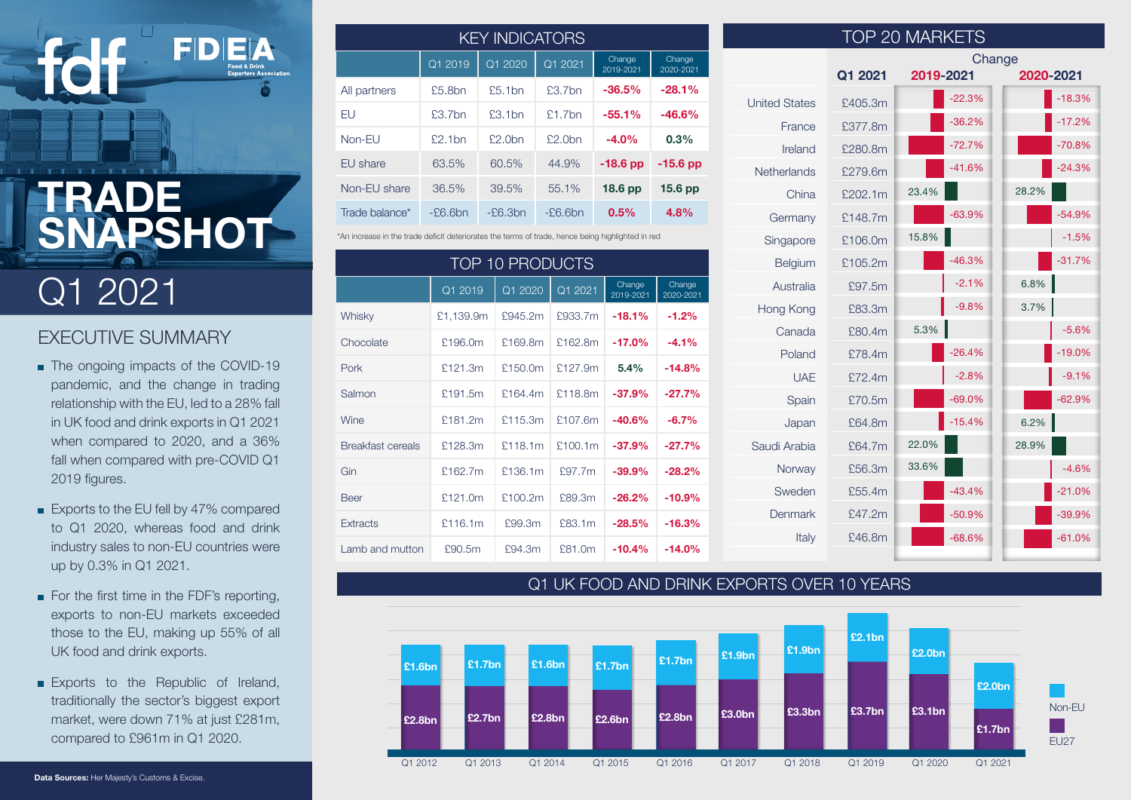# **TRADE SNAPSHOT**

FDE

# Q1 2021

### EXECUTIVE SUMMARY

- The ongoing impacts of the COVID-19 pandemic, and the change in trading relationship with the EU, led to a 28% fall in UK food and drink exports in Q1 2021 when compared to 2020, and a 36% fall when compared with pre-COVID Q1 2019 figures.
- Exports to the EU fell by 47% compared to Q1 2020, whereas food and drink industry sales to non-EU countries were up by 0.3% in Q1 2021.
- For the first time in the FDF's reporting, exports to non-EU markets exceeded those to the EU, making up 55% of all UK food and drink exports.
- **Exports to the Republic of Ireland,** traditionally the sector's biggest export market, were down 71% at just £281m, compared to £961m in Q1 2020.

| <b>KEY INDICATORS</b> |            |           |            |                     |                     |  |
|-----------------------|------------|-----------|------------|---------------------|---------------------|--|
|                       | Q1 2019    | Q1 2020   | Q12021     | Change<br>2019-2021 | Change<br>2020-2021 |  |
| All partners          | £5.8bn     | £5.1bn    | $f3.7$ hn  | $-36.5%$            | $-28.1%$            |  |
| EU                    | £3.7bn     | £3.1bn    | £1.7bn     | $-55.1%$            | $-46.6%$            |  |
| Non-EU                | £2.1bn     | £2.0bn    | $f2.0$ hn  | $-4.0%$             | 0.3%                |  |
| EU share              | 63.5%      | 60.5%     | 44.9%      | $-18.6$ pp          | $-15.6$ pp          |  |
| Non-EU share          | 36.5%      | 39.5%     | 55.1%      | 18.6 <sub>pp</sub>  | 15.6 <sub>pp</sub>  |  |
| Trade balance*        | $-E6.6$ bn | $-E6.3bn$ | $-E6.6$ bn | 0.5%                | 4.8%                |  |

\*An increase in the trade deficit deteriorates the terms of trade, hence being highlighted in red

| <b>TOP 10 PRODUCTS</b>   |           |          |         |                     |                     |  |
|--------------------------|-----------|----------|---------|---------------------|---------------------|--|
|                          | Q1 2019   | Q1 2020  | Q1 2021 | Change<br>2019-2021 | Change<br>2020-2021 |  |
| Whisky                   | £1,139.9m | £945.2m  | £933.7m | $-18.1%$            | $-1.2%$             |  |
| Chocolate                | £196.0m   | £169.8m  | £162.8m | $-17.0%$            | $-4.1%$             |  |
| Pork                     | £121.3m   | £150.0m  | £127.9m | 5.4%                | $-14.8%$            |  |
| Salmon                   | £191.5m   | \$164.4m | £118.8m | $-37.9%$            | $-27.7%$            |  |
| Wine                     | £181.2m   | £115.3m  | £107.6m | $-40.6%$            | $-6.7%$             |  |
| <b>Breakfast cereals</b> | £128.3m   | £118.1m  | £100.1m | $-37.9%$            | $-27.7%$            |  |
| Gin                      | £162.7m   | £136.1m  | £97.7m  | $-39.9%$            | $-28.2%$            |  |
| <b>Beer</b>              | £121.0m   | £100.2m  | £89.3m  | $-26.2%$            | $-10.9%$            |  |
| <b>Extracts</b>          | £116.1m   | £99.3m   | £83.1m  | $-28.5%$            | $-16.3%$            |  |
| Lamb and mutton          | £90.5m    | £94.3m   | £81.0m  | $-10.4%$            | $-14.0%$            |  |

| <b>TOP 20 MARKETS</b> |         |           |          |        |           |  |
|-----------------------|---------|-----------|----------|--------|-----------|--|
|                       |         |           |          | Change |           |  |
|                       | Q1 2021 | 2019-2021 |          |        | 2020-2021 |  |
| <b>United States</b>  | £405.3m |           | $-22.3%$ |        | $-18.3%$  |  |
| France                | £377.8m |           | $-36.2%$ |        | $-17.2%$  |  |
| Ireland               | £280.8m |           | $-72.7%$ |        | $-70.8%$  |  |
| <b>Netherlands</b>    | £279.6m |           | $-41.6%$ |        | $-24.3%$  |  |
| China                 | £202.1m | 23.4%     |          | 28.2%  |           |  |
| Germany               | £148.7m |           | $-63.9%$ |        | $-54.9%$  |  |
| Singapore             | £106.0m | 15.8%     |          |        | $-1.5%$   |  |
| Belgium               | £105.2m |           | $-46.3%$ |        | $-31.7%$  |  |
| Australia             | £97.5m  |           | $-2.1%$  | 6.8%   |           |  |
| Hong Kong             | £83.3m  |           | $-9.8%$  | 3.7%   |           |  |
| Canada                | £80.4m  | 5.3%      |          |        | $-5.6%$   |  |
| Poland                | £78.4m  |           | $-26.4%$ |        | $-19.0%$  |  |
| <b>UAE</b>            | £72.4m  |           | $-2.8%$  |        | $-9.1%$   |  |
| Spain                 | £70.5m  |           | $-69.0%$ |        | $-62.9%$  |  |
| Japan                 | £64.8m  |           | $-15.4%$ | 6.2%   |           |  |
| Saudi Arabia          | £64.7m  | 22.0%     |          | 28.9%  |           |  |
| Norway                | £56.3m  | 33.6%     |          |        | $-4.6%$   |  |
| Sweden                | £55.4m  |           | $-43.4%$ |        | $-21.0%$  |  |
| Denmark               | £47.2m  |           | $-50.9%$ |        | $-39.9%$  |  |
| Italy                 | £46.8m  |           | $-68.6%$ |        | $-61.0%$  |  |
|                       |         |           |          |        |           |  |

#### Q1 UK FOOD AND DRINK EXPORTS OVER 10 YEARS



**Data Sources:** Her Majesty's Customs & Excise.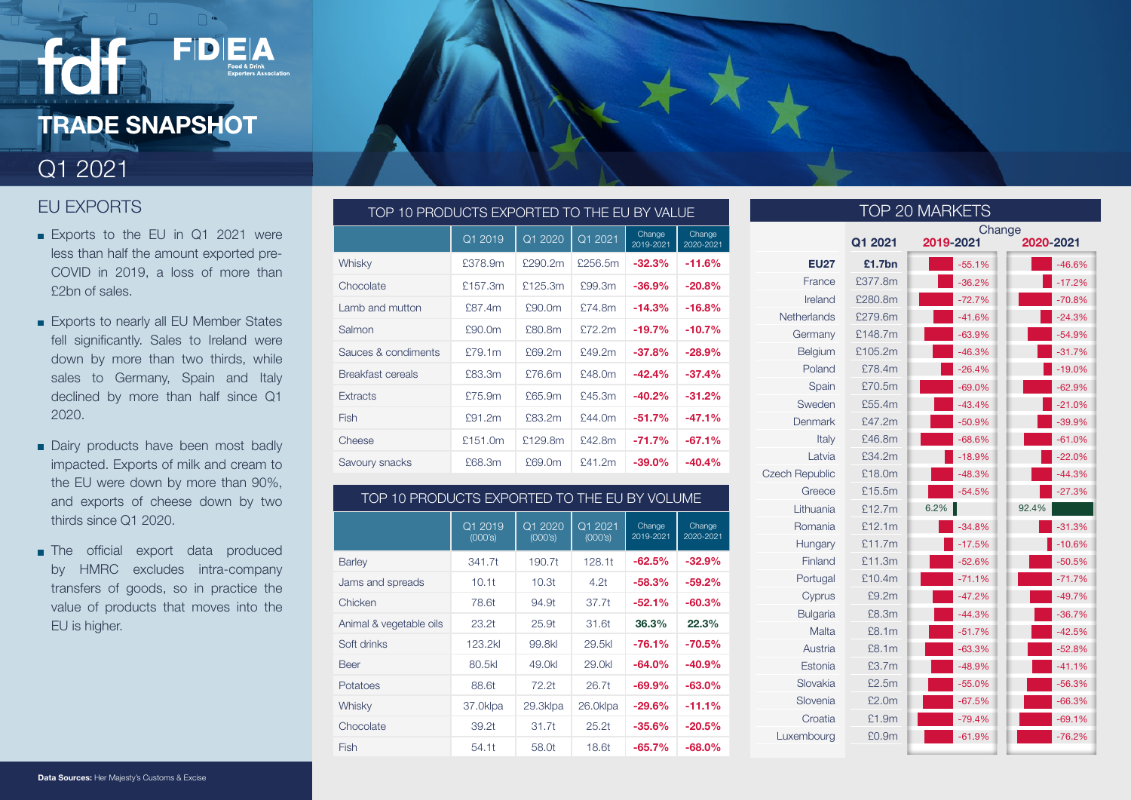# **TRADE SNAPSHOT**

FDEA

### Q1 2021

### EU EXPORTS

- Exports to the EU in Q1 2021 were less than half the amount exported pre-COVID in 2019, a loss of more than £2bn of sales.
- Exports to nearly all EU Member States fell significantly. Sales to Ireland were down by more than two thirds, while sales to Germany, Spain and Italy declined by more than half since Q1 2020.
- Dairy products have been most badly impacted. Exports of milk and cream to the EU were down by more than 90%, and exports of cheese down by two thirds since Q1 2020.
- **The official export data produced** by HMRC excludes intra-company transfers of goods, so in practice the value of products that moves into the EU is higher.

| TOP 10 PRODUCTS EXPORTED TO THE EU BY VALUE |         |         |         |                     |                     |  |
|---------------------------------------------|---------|---------|---------|---------------------|---------------------|--|
|                                             | Q1 2019 | Q1 2020 | Q1 2021 | Change<br>2019-2021 | Change<br>2020-2021 |  |
| Whisky                                      | £378.9m | £290.2m | £256.5m | $-32.3%$            | $-11.6%$            |  |
| Chocolate                                   | £157.3m | £125.3m | £99.3m  | $-36.9%$            | $-20.8%$            |  |
| Lamb and mutton                             | £87.4m  | £90.0m  | £74.8m  | $-14.3%$            | $-16.8%$            |  |
| Salmon                                      | £90.0m  | £80.8m  | £72.2m  | $-19.7%$            | $-10.7%$            |  |
| Sauces & condiments                         | £79.1m  | £69.2m  | £49.2m  | $-37.8%$            | $-28.9%$            |  |
| Breakfast cereals                           | £83.3m  | £76.6m  | £48.0m  | $-42.4%$            | $-37.4%$            |  |
| <b>Extracts</b>                             | £75.9m  | £65.9m  | £45.3m  | $-40.2%$            | $-31.2%$            |  |
| Fish                                        | £91.2m  | £83.2m  | f44.0m  | $-51.7%$            | $-47.1%$            |  |
| Cheese                                      | £151.0m | £129.8m | £42.8m  | $-71.7%$            | $-67.1%$            |  |
| Savoury snacks                              | £68.3m  | £69.0m  | £41.2m  | $-39.0%$            | $-40.4%$            |  |

#### TOP 10 PRODUCTS EXPORTED TO THE EU BY VOLUME

|                         | Q1 2019<br>(000's) | Q1 2020<br>(000's) | Q1 2021<br>(000's) | Change<br>2019-2021 | Change<br>2020-2021 |
|-------------------------|--------------------|--------------------|--------------------|---------------------|---------------------|
| <b>Barley</b>           | 341.7t             | 190.7t             | 128.11             | $-62.5%$            | $-32.9%$            |
| Jams and spreads        | 10.11              | 10.3t              | 4.2 <sub>t</sub>   | $-58.3%$            | $-59.2\%$           |
| Chicken                 | 78.6t              | 94.9t              | 37.7t              | $-52.1%$            | $-60.3%$            |
| Animal & vegetable oils | 23.2 <sub>t</sub>  | 25.9 <sub>t</sub>  | 31.6t              | 36.3%               | 22.3%               |
| Soft drinks             | 123.2kl            | 99.8kl             | 29.5kl             | $-76.1%$            | $-70.5\%$           |
| <b>Beer</b>             | 80.5kl             | 49.0kl             | 29.0kl             | $-64.0%$            | $-40.9%$            |
| Potatoes                | 88.6t              | 72.2 <sub>t</sub>  | 26.7t              | $-69.9%$            | $-63.0\%$           |
| Whisky                  | 37.0klpa           | 29.3klpa           | 26.0klpa           | $-29.6%$            | $-11.1%$            |
| Chocolate               | 39.2 <sub>t</sub>  | 31.7t              | 25.2t              | $-35.6%$            | $-20.5%$            |
| Fish                    | 54.1t              | 58.0t              | 18.6t              | $-65.7\%$           | $-68.0\%$           |

| TOP 20 MARKETS        |         |                     |           |  |  |
|-----------------------|---------|---------------------|-----------|--|--|
|                       | Q1 2021 | Change<br>2019-2021 | 2020-2021 |  |  |
| <b>EU27</b>           | £1.7bn  | $-55.1%$            | $-46.6%$  |  |  |
| France                | £377.8m | $-36.2%$            | $-17.2%$  |  |  |
| Ireland               | £280.8m | $-72.7%$            | $-70.8%$  |  |  |
| Netherlands           | £279.6m | $-41.6%$            | $-24.3%$  |  |  |
| Germany               | £148.7m | $-63.9%$            | $-54.9%$  |  |  |
| Belgium               | £105.2m | $-46.3%$            | $-31.7%$  |  |  |
| Poland                | £78.4m  | $-26.4%$            | $-19.0%$  |  |  |
| Spain                 | £70.5m  | $-69.0%$            | $-62.9%$  |  |  |
| Sweden                | £55.4m  | $-43.4%$            | $-21.0%$  |  |  |
| Denmark               | £47.2m  | $-50.9%$            | $-39.9%$  |  |  |
| Italy                 | £46.8m  | $-68.6%$            | $-61.0%$  |  |  |
| Latvia                | £34.2m  | $-18.9%$            | $-22.0%$  |  |  |
| <b>Czech Republic</b> | £18.0m  | $-48.3%$            | $-44.3%$  |  |  |
| Greece                | £15.5m  | $-54.5%$            | $-27.3%$  |  |  |
| Lithuania             | £12.7m  | 6.2%                | 92.4%     |  |  |
| Romania               | £12.1m  | $-34.8%$            | $-31.3%$  |  |  |
| Hungary               | £11.7m  | $-17.5%$            | $-10.6%$  |  |  |
| Finland               | £11.3m  | $-52.6%$            | $-50.5%$  |  |  |
| Portugal              | £10.4m  | $-71.1%$            | $-71.7%$  |  |  |
| Cyprus                | £9.2m   | $-47.2%$            | $-49.7%$  |  |  |
| <b>Bulgaria</b>       | £8.3m   | $-44.3%$            | $-36.7%$  |  |  |
| Malta                 | £8.1m   | $-51.7%$            | $-42.5%$  |  |  |
| Austria               | £8.1m   | $-63.3%$            | $-52.8%$  |  |  |
| Estonia               | £3.7m   | $-48.9%$            | $-41.1%$  |  |  |
| Slovakia              | £2.5m   | $-55.0%$            | $-56.3%$  |  |  |
| Slovenia              | £2.0m   | $-67.5%$            | $-66.3%$  |  |  |
| Croatia               | £1.9m   | $-79.4%$            | $-69.1%$  |  |  |
| Luxembourg            | £0.9m   | $-61.9%$            | $-76.2%$  |  |  |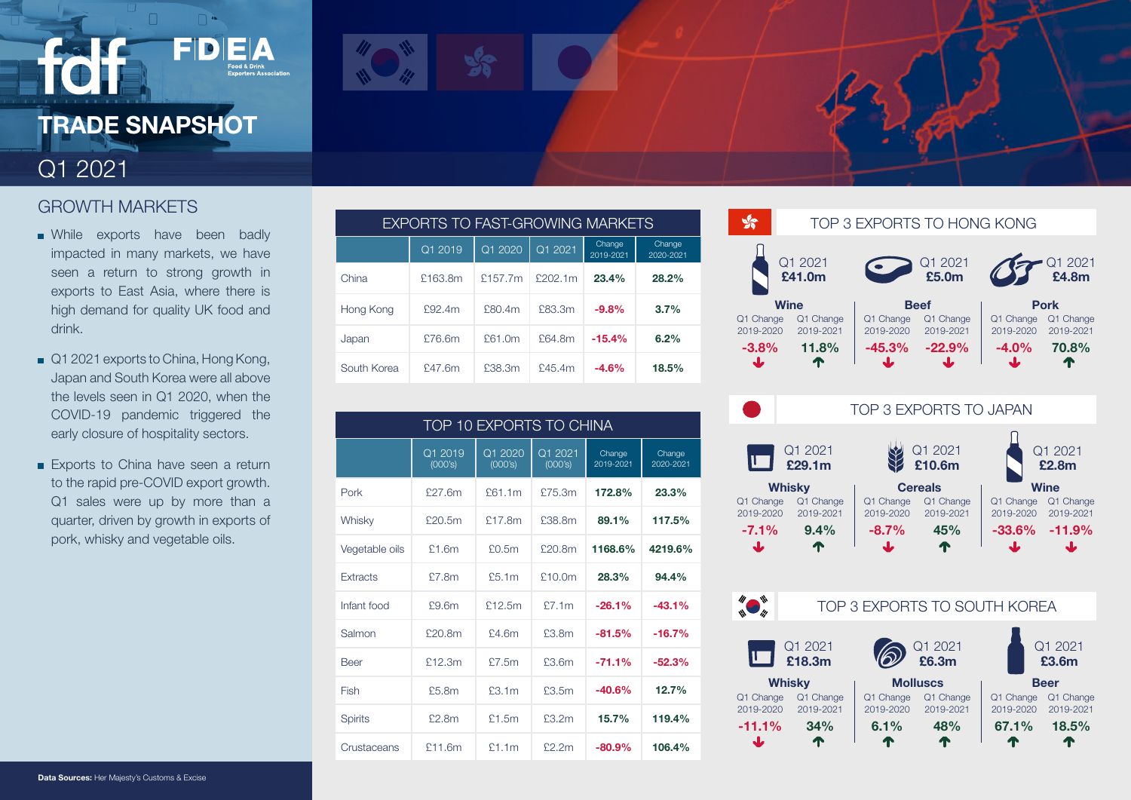# **TRADE SNAPSHOT**

 $=$   $\blacksquare$ 

### Q1 2021

### GROWTH MARKETS

- **NH** While exports have been badly impacted in many markets, we have seen a return to strong growth in exports to East Asia, where there is high demand for quality UK food and drink.
- Q1 2021 exports to China, Hong Kong, Japan and South Korea were all above the levels seen in Q1 2020, when the COVID-19 pandemic triggered the early closure of hospitality sectors.
- Exports to China have seen a return to the rapid pre-COVID export growth. Q1 sales were up by more than a quarter, driven by growth in exports of pork, whisky and vegetable oils.

| EXPORTS TO FAST-GROWING MARKETS |         |         |         |                     |                     |  |
|---------------------------------|---------|---------|---------|---------------------|---------------------|--|
|                                 | Q1 2019 | Q1 2020 | Q1 2021 | Change<br>2019-2021 | Change<br>2020-2021 |  |
| China                           | £163.8m | £157.7m | £202.1m | 23.4%               | 28.2%               |  |
| Hong Kong                       | £92.4m  | £80.4m  | £83.3m  | $-9.8%$             | 3.7%                |  |
| Japan                           | £76.6m  | £61.0m  | £64.8m  | $-15.4%$            | 6.2%                |  |
| South Korea                     | £47.6m  | £38.3m  | £45.4m  | $-4.6%$             | 18.5%               |  |

| TOP 10 EXPORTS TO CHINA |                    |                    |                    |                     |                     |  |
|-------------------------|--------------------|--------------------|--------------------|---------------------|---------------------|--|
|                         | Q1 2019<br>(000's) | Q1 2020<br>(000's) | Q1 2021<br>(000's) | Change<br>2019-2021 | Change<br>2020-2021 |  |
| Pork                    | £27.6m             | f61.1m             | £75.3m             | 172.8%              | 23.3%               |  |
| Whisky                  | £20.5m             | £17.8m             | £38.8m             | 89.1%               | 117.5%              |  |
| Vegetable oils          | f1.6m              | £0.5m              | £20.8m             | 1168.6%             | 4219.6%             |  |
| Extracts                | £7.8m              | \$5.1m             | f10.0m             | 28.3%               | 94.4%               |  |
| Infant food             | F9.6m              | £12.5m             | \$7.1m             | $-26.1%$            | $-43.1%$            |  |
| Salmon                  | £20.8m             | f4.6m              | £3.8m              | $-81.5%$            | $-16.7%$            |  |
| <b>Beer</b>             | £12.3m             | \$7.5m             | f3.6m              | $-71.1%$            | $-52.3%$            |  |
| Fish                    | £5.8m              | f3.1m              | £3.5m              | $-40.6%$            | 12.7%               |  |
| <b>Spirits</b>          | £2.8m              | £1.5m              | £3.2m              | 15.7%               | 119.4%              |  |
| Crustaceans             | £11.6m             | £1.1m              | f2.2m              | $-80.9%$            | 106.4%              |  |